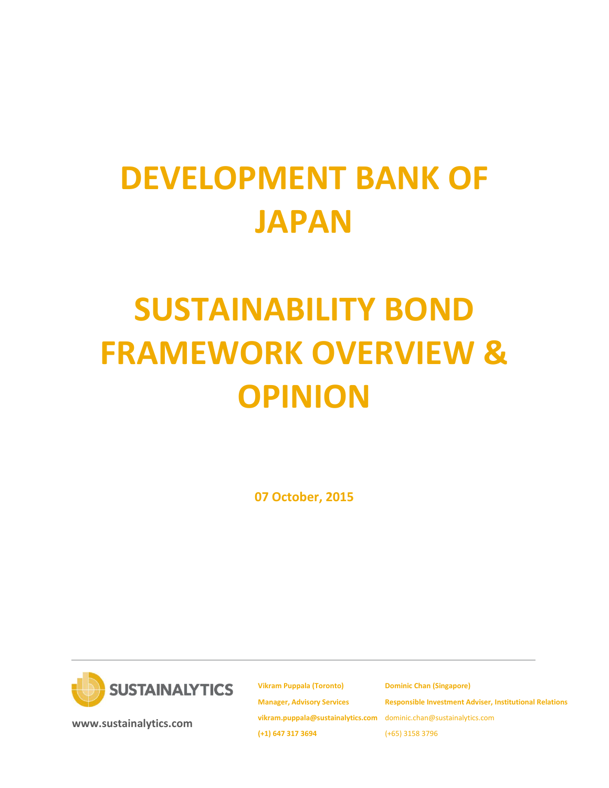# **DEVELOPMENT BANK OF JAPAN**

# **SUSTAINABILITY BOND FRAMEWORK OVERVIEW & OPINION**

**07 October, 2015**



**[www.sustainalytics.com](http://www.sustainalytics.com/)**

**Vikram Puppala (Toronto) Manager, Advisory Services [vikram.puppala@sustainalytics.com](mailto:vikram.puppala@sustainalytics.com)** dominic.chan@sustainalytics.com **(+1) 647 317 3694**

**Dominic Chan (Singapore) Responsible Investment Adviser, Institutional Relations** (+65) 3158 3796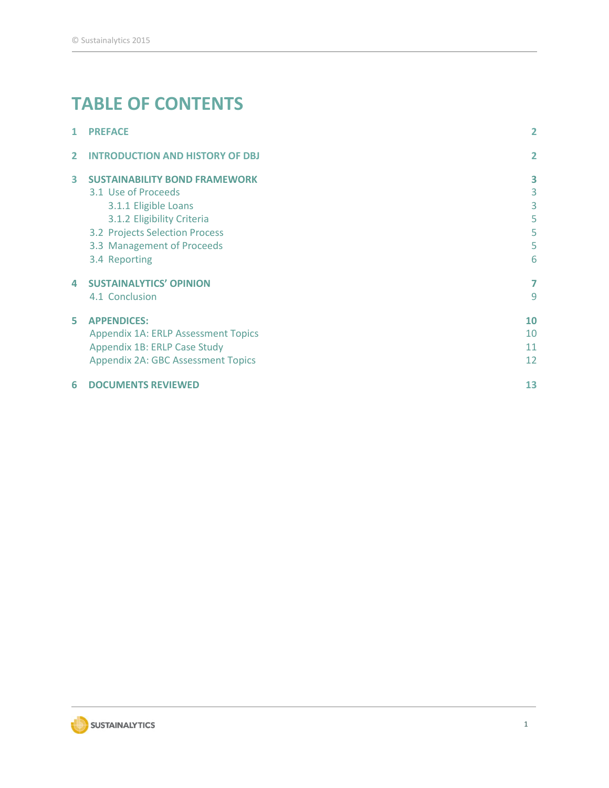# **TABLE OF CONTENTS**

| 6              | <b>DOCUMENTS REVIEWED</b>                                                 | 13             |
|----------------|---------------------------------------------------------------------------|----------------|
|                | Appendix 1B: ERLP Case Study<br><b>Appendix 2A: GBC Assessment Topics</b> | 11<br>12       |
|                | <b>Appendix 1A: ERLP Assessment Topics</b>                                | 10             |
| 5.             | <b>APPENDICES:</b>                                                        | 10             |
|                | 4.1 Conclusion                                                            | 9              |
| 4              | <b>SUSTAINALYTICS' OPINION</b>                                            | $\overline{7}$ |
|                | 3.4 Reporting                                                             | 6              |
|                | 3.3 Management of Proceeds                                                | 5              |
|                | 3.2 Projects Selection Process                                            | 5              |
|                | 3.1.2 Eligibility Criteria                                                | 5              |
|                | 3.1.1 Eligible Loans                                                      | 3              |
|                | 3.1 Use of Proceeds                                                       | 3              |
| 3              | <b>SUSTAINABILITY BOND FRAMEWORK</b>                                      | 3              |
| $\overline{2}$ | <b>INTRODUCTION AND HISTORY OF DBJ</b>                                    | $\overline{2}$ |
| 1              | <b>PREFACE</b>                                                            | $\overline{2}$ |

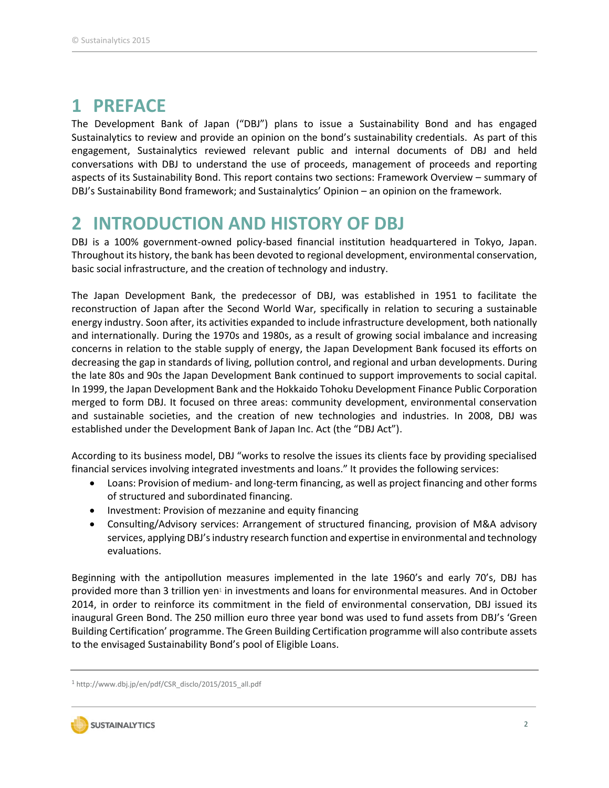### **1 PREFACE**

The Development Bank of Japan ("DBJ") plans to issue a Sustainability Bond and has engaged Sustainalytics to review and provide an opinion on the bond's sustainability credentials. As part of this engagement, Sustainalytics reviewed relevant public and internal documents of DBJ and held conversations with DBJ to understand the use of proceeds, management of proceeds and reporting aspects of its Sustainability Bond. This report contains two sections: Framework Overview – summary of DBJ's Sustainability Bond framework; and Sustainalytics' Opinion – an opinion on the framework.

## **2 INTRODUCTION AND HISTORY OF DBJ**

DBJ is a 100% government-owned policy-based financial institution headquartered in Tokyo, Japan. Throughout its history, the bank has been devoted to regional development, environmental conservation, basic social infrastructure, and the creation of technology and industry.

The Japan Development Bank, the predecessor of DBJ, was established in 1951 to facilitate the reconstruction of Japan after the Second World War, specifically in relation to securing a sustainable energy industry. Soon after, its activities expanded to include infrastructure development, both nationally and internationally. During the 1970s and 1980s, as a result of growing social imbalance and increasing concerns in relation to the stable supply of energy, the Japan Development Bank focused its efforts on decreasing the gap in standards of living, pollution control, and regional and urban developments. During the late 80s and 90s the Japan Development Bank continued to support improvements to social capital. In 1999, the Japan Development Bank and the Hokkaido Tohoku Development Finance Public Corporation merged to form DBJ. It focused on three areas: community development, environmental conservation and sustainable societies, and the creation of new technologies and industries. In 2008, DBJ was established under the Development Bank of Japan Inc. Act (the "DBJ Act").

According to its business model, DBJ "works to resolve the issues its clients face by providing specialised financial services involving integrated investments and loans." It provides the following services:

- Loans: Provision of medium- and long-term financing, as well as project financing and other forms of structured and subordinated financing.
- Investment: Provision of mezzanine and equity financing
- Consulting/Advisory services: Arrangement of structured financing, provision of M&A advisory services, applying DBJ's industry research function and expertise in environmental and technology evaluations.

Beginning with the antipollution measures implemented in the late 1960's and early 70's, DBJ has provided more than 3 trillion yen<sup>1</sup> in investments and loans for environmental measures. And in October 2014, in order to reinforce its commitment in the field of environmental conservation, DBJ issued its inaugural Green Bond. The 250 million euro three year bond was used to fund assets from DBJ's 'Green Building Certification' programme. The Green Building Certification programme will also contribute assets to the envisaged Sustainability Bond's pool of Eligible Loans.

<sup>1</sup> http://www.dbj.jp/en/pdf/CSR\_disclo/2015/2015\_all.pdf

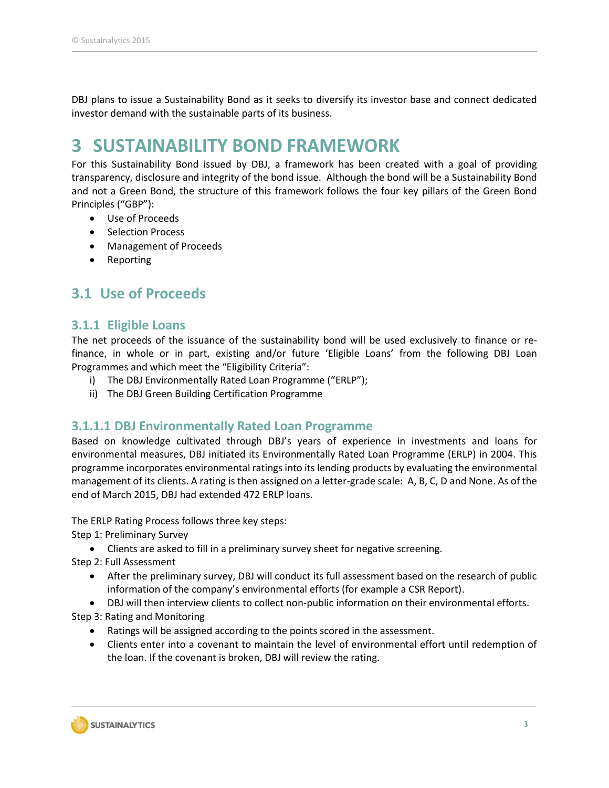DBJ plans to issue a Sustainability Bond as it seeks to diversify its investor base and connect dedicated investor demand with the sustainable parts of its business.

## **3 SUSTAINABILITY BOND FRAMEWORK**

For this Sustainability Bond issued by DBJ, a framework has been created with a goal of providing transparency, disclosure and integrity of the bond issue. Although the bond will be a Sustainability Bond and not a Green Bond, the structure of this framework follows the four key pillars of the Green Bond Principles ("GBP"):

- Use of Proceeds
- Selection Process
- Management of Proceeds
- Reporting

### **3.1 Use of Proceeds**

#### **3.1.1 Eligible Loans**

The net proceeds of the issuance of the sustainability bond will be used exclusively to finance or refinance, in whole or in part, existing and/or future 'Eligible Loans' from the following DBJ Loan Programmes and which meet the "Eligibility Criteria":

- i) The DBJ Environmentally Rated Loan Programme ("ERLP");
- ii) The DBJ Green Building Certification Programme

#### **3.1.1.1 DBJ Environmentally Rated Loan Programme**

Based on knowledge cultivated through DBJ's years of experience in investments and loans for environmental measures, DBJ initiated its Environmentally Rated Loan Programme (ERLP) in 2004. This programme incorporates environmental ratings into its lending products by evaluating the environmental management of its clients. A rating is then assigned on a letter-grade scale: A, B, C, D and None. As of the end of March 2015, DBJ had extended 472 ERLP loans.

The ERLP Rating Process follows three key steps:

Step 1: Preliminary Survey

Clients are asked to fill in a preliminary survey sheet for negative screening.

Step 2: Full Assessment

- After the preliminary survey, DBJ will conduct its full assessment based on the research of public information of the company's environmental efforts (for example a CSR Report).
- DBJ will then interview clients to collect non-public information on their environmental efforts.

Step 3: Rating and Monitoring

- Ratings will be assigned according to the points scored in the assessment.
- Clients enter into a covenant to maintain the level of environmental effort until redemption of the loan. If the covenant is broken, DBJ will review the rating.

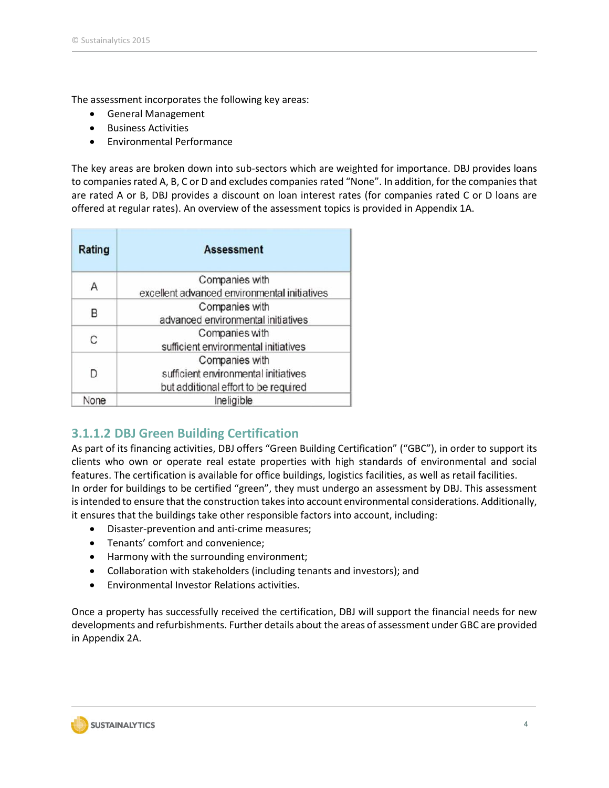The assessment incorporates the following key areas:

- General Management
- **•** Business Activities
- Environmental Performance

The key areas are broken down into sub-sectors which are weighted for importance. DBJ provides loans to companies rated A, B, C or D and excludes companies rated "None". In addition, for the companies that are rated A or B, DBJ provides a discount on loan interest rates (for companies rated C or D loans are offered at regular rates). An overview of the assessment topics is provided in Appendix 1A.

| Rating | <b>Assessment</b>                            |  |
|--------|----------------------------------------------|--|
| А      | Companies with                               |  |
|        | excellent advanced environmental initiatives |  |
| B      | Companies with                               |  |
|        | advanced environmental initiatives           |  |
| C      | Companies with                               |  |
|        | sufficient environmental initiatives         |  |
|        | Companies with                               |  |
| D      | sufficient environmental initiatives         |  |
|        | but additional effort to be required         |  |
| None   | Ineligible                                   |  |

### **3.1.1.2 DBJ Green Building Certification**

As part of its financing activities, DBJ offers "Green Building Certification" ("GBC"), in order to support its clients who own or operate real estate properties with high standards of environmental and social features. The certification is available for office buildings, logistics facilities, as well as retail facilities. In order for buildings to be certified "green", they must undergo an assessment by DBJ. This assessment is intended to ensure that the construction takes into account environmental considerations. Additionally, it ensures that the buildings take other responsible factors into account, including:

- Disaster-prevention and anti-crime measures;
- Tenants' comfort and convenience;
- Harmony with the surrounding environment;
- Collaboration with stakeholders (including tenants and investors); and
- Environmental Investor Relations activities.

Once a property has successfully received the certification, DBJ will support the financial needs for new developments and refurbishments. Further details about the areas of assessment under GBC are provided in Appendix 2A.

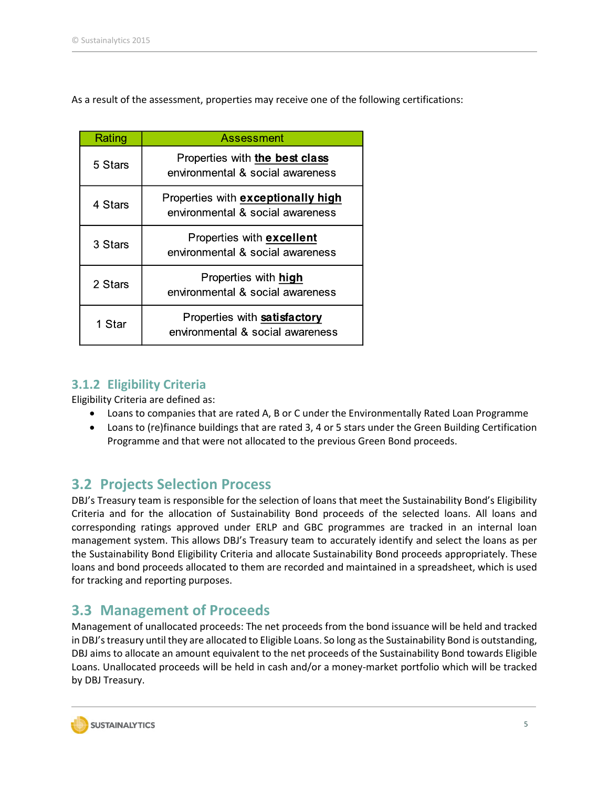As a result of the assessment, properties may receive one of the following certifications:

| Rating  | <b>Assessment</b>                                                      |  |
|---------|------------------------------------------------------------------------|--|
| 5 Stars | Properties with the best class<br>environmental & social awareness     |  |
| 4 Stars | Properties with exceptionally high<br>environmental & social awareness |  |
| 3 Stars | Properties with <b>excellent</b><br>environmental & social awareness   |  |
| 2 Stars | Properties with high<br>environmental & social awareness               |  |
| 1 Star  | Properties with satisfactory<br>environmental & social awareness       |  |

### **3.1.2 Eligibility Criteria**

Eligibility Criteria are defined as:

- Loans to companies that are rated A, B or C under the Environmentally Rated Loan Programme
- Loans to (re)finance buildings that are rated 3, 4 or 5 stars under the Green Building Certification Programme and that were not allocated to the previous Green Bond proceeds.

### **3.2 Projects Selection Process**

DBJ's Treasury team is responsible for the selection of loans that meet the Sustainability Bond's Eligibility Criteria and for the allocation of Sustainability Bond proceeds of the selected loans. All loans and corresponding ratings approved under ERLP and GBC programmes are tracked in an internal loan management system. This allows DBJ's Treasury team to accurately identify and select the loans as per the Sustainability Bond Eligibility Criteria and allocate Sustainability Bond proceeds appropriately. These loans and bond proceeds allocated to them are recorded and maintained in a spreadsheet, which is used for tracking and reporting purposes.

### **3.3 Management of Proceeds**

Management of unallocated proceeds: The net proceeds from the bond issuance will be held and tracked in DBJ's treasury until they are allocated to Eligible Loans. So long as the Sustainability Bond is outstanding, DBJ aims to allocate an amount equivalent to the net proceeds of the Sustainability Bond towards Eligible Loans. Unallocated proceeds will be held in cash and/or a money-market portfolio which will be tracked by DBJ Treasury.

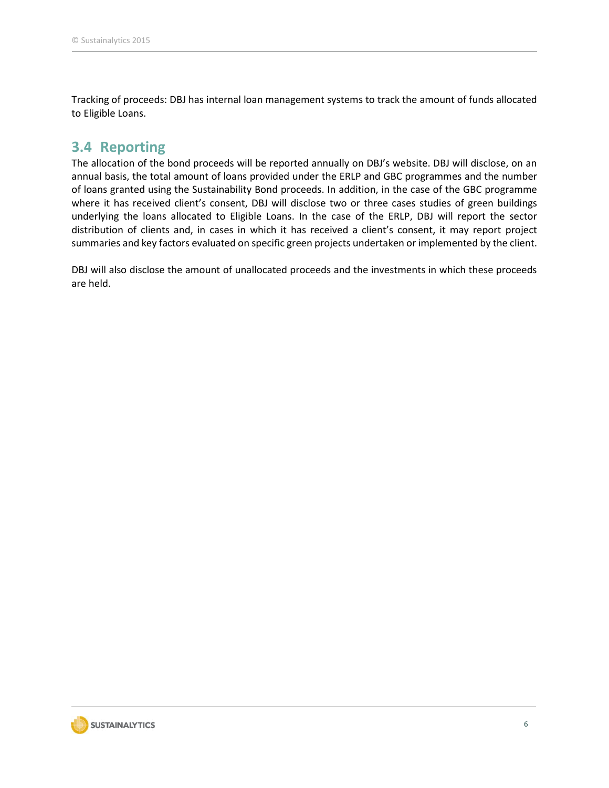Tracking of proceeds: DBJ has internal loan management systems to track the amount of funds allocated to Eligible Loans.

### **3.4 Reporting**

The allocation of the bond proceeds will be reported annually on DBJ's website. DBJ will disclose, on an annual basis, the total amount of loans provided under the ERLP and GBC programmes and the number of loans granted using the Sustainability Bond proceeds. In addition, in the case of the GBC programme where it has received client's consent, DBJ will disclose two or three cases studies of green buildings underlying the loans allocated to Eligible Loans. In the case of the ERLP, DBJ will report the sector distribution of clients and, in cases in which it has received a client's consent, it may report project summaries and key factors evaluated on specific green projects undertaken or implemented by the client.

DBJ will also disclose the amount of unallocated proceeds and the investments in which these proceeds are held.

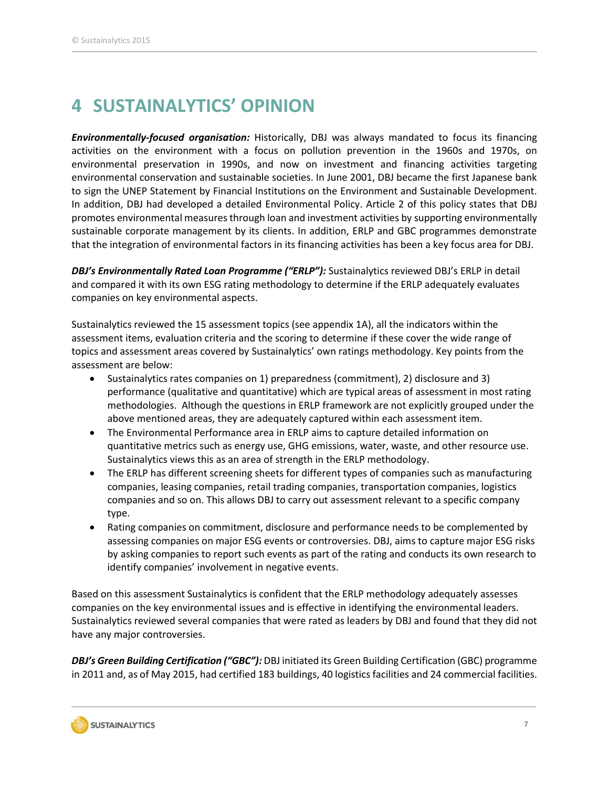# **4 SUSTAINALYTICS' OPINION**

*Environmentally-focused organisation:* Historically, DBJ was always mandated to focus its financing activities on the environment with a focus on pollution prevention in the 1960s and 1970s, on environmental preservation in 1990s, and now on investment and financing activities targeting environmental conservation and sustainable societies. In June 2001, DBJ became the first Japanese bank to sign the UNEP Statement by Financial Institutions on the Environment and Sustainable Development. In addition, DBJ had developed a detailed Environmental Policy. Article 2 of this policy states that DBJ promotes environmental measures through loan and investment activities by supporting environmentally sustainable corporate management by its clients. In addition, ERLP and GBC programmes demonstrate that the integration of environmental factors in its financing activities has been a key focus area for DBJ.

*DBJ's Environmentally Rated Loan Programme ("ERLP"):* Sustainalytics reviewed DBJ's ERLP in detail and compared it with its own ESG rating methodology to determine if the ERLP adequately evaluates companies on key environmental aspects.

Sustainalytics reviewed the 15 assessment topics (see appendix 1A), all the indicators within the assessment items, evaluation criteria and the scoring to determine if these cover the wide range of topics and assessment areas covered by Sustainalytics' own ratings methodology. Key points from the assessment are below:

- Sustainalytics rates companies on 1) preparedness (commitment), 2) disclosure and 3) performance (qualitative and quantitative) which are typical areas of assessment in most rating methodologies. Although the questions in ERLP framework are not explicitly grouped under the above mentioned areas, they are adequately captured within each assessment item.
- The Environmental Performance area in ERLP aims to capture detailed information on quantitative metrics such as energy use, GHG emissions, water, waste, and other resource use. Sustainalytics views this as an area of strength in the ERLP methodology.
- The ERLP has different screening sheets for different types of companies such as manufacturing companies, leasing companies, retail trading companies, transportation companies, logistics companies and so on. This allows DBJ to carry out assessment relevant to a specific company type.
- Rating companies on commitment, disclosure and performance needs to be complemented by assessing companies on major ESG events or controversies. DBJ, aims to capture major ESG risks by asking companies to report such events as part of the rating and conducts its own research to identify companies' involvement in negative events.

Based on this assessment Sustainalytics is confident that the ERLP methodology adequately assesses companies on the key environmental issues and is effective in identifying the environmental leaders. Sustainalytics reviewed several companies that were rated as leaders by DBJ and found that they did not have any major controversies.

*DBJ's Green Building Certification ("GBC"):* DBJ initiated its Green Building Certification (GBC) programme in 2011 and, as of May 2015, had certified 183 buildings, 40 logistics facilities and 24 commercial facilities.

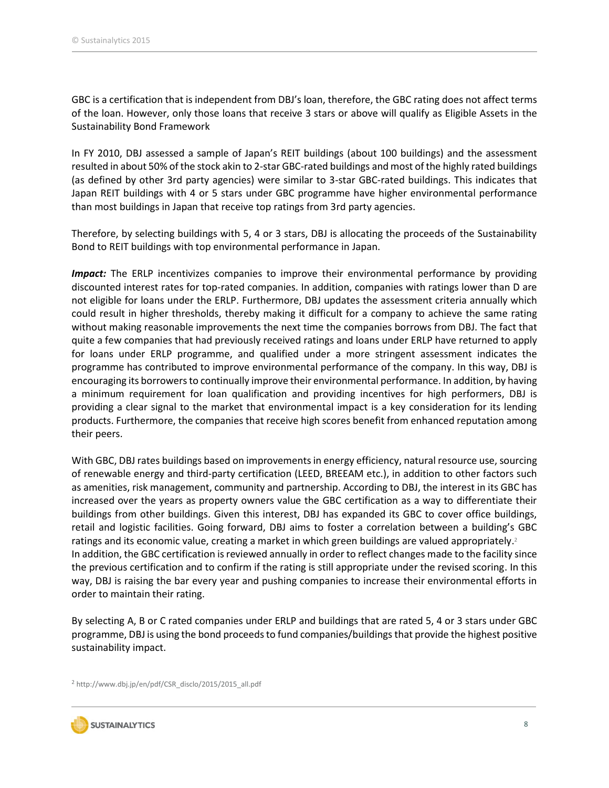GBC is a certification that is independent from DBJ's loan, therefore, the GBC rating does not affect terms of the loan. However, only those loans that receive 3 stars or above will qualify as Eligible Assets in the Sustainability Bond Framework

In FY 2010, DBJ assessed a sample of Japan's REIT buildings (about 100 buildings) and the assessment resulted in about 50% of the stock akin to 2-star GBC-rated buildings and most of the highly rated buildings (as defined by other 3rd party agencies) were similar to 3-star GBC-rated buildings. This indicates that Japan REIT buildings with 4 or 5 stars under GBC programme have higher environmental performance than most buildings in Japan that receive top ratings from 3rd party agencies.

Therefore, by selecting buildings with 5, 4 or 3 stars, DBJ is allocating the proceeds of the Sustainability Bond to REIT buildings with top environmental performance in Japan.

*Impact:* The ERLP incentivizes companies to improve their environmental performance by providing discounted interest rates for top-rated companies. In addition, companies with ratings lower than D are not eligible for loans under the ERLP. Furthermore, DBJ updates the assessment criteria annually which could result in higher thresholds, thereby making it difficult for a company to achieve the same rating without making reasonable improvements the next time the companies borrows from DBJ. The fact that quite a few companies that had previously received ratings and loans under ERLP have returned to apply for loans under ERLP programme, and qualified under a more stringent assessment indicates the programme has contributed to improve environmental performance of the company. In this way, DBJ is encouraging its borrowers to continually improve their environmental performance. In addition, by having a minimum requirement for loan qualification and providing incentives for high performers, DBJ is providing a clear signal to the market that environmental impact is a key consideration for its lending products. Furthermore, the companies that receive high scores benefit from enhanced reputation among their peers.

With GBC, DBJ rates buildings based on improvements in energy efficiency, natural resource use, sourcing of renewable energy and third-party certification (LEED, BREEAM etc.), in addition to other factors such as amenities, risk management, community and partnership. According to DBJ, the interest in its GBC has increased over the years as property owners value the GBC certification as a way to differentiate their buildings from other buildings. Given this interest, DBJ has expanded its GBC to cover office buildings, retail and logistic facilities. Going forward, DBJ aims to foster a correlation between a building's GBC ratings and its economic value, creating a market in which green buildings are valued appropriately.<sup>2</sup> In addition, the GBC certification is reviewed annually in order to reflect changes made to the facility since the previous certification and to confirm if the rating is still appropriate under the revised scoring. In this way, DBJ is raising the bar every year and pushing companies to increase their environmental efforts in order to maintain their rating.

By selecting A, B or C rated companies under ERLP and buildings that are rated 5, 4 or 3 stars under GBC programme, DBJ is using the bond proceeds to fund companies/buildingsthat provide the highest positive sustainability impact.

<sup>2</sup> http://www.dbj.jp/en/pdf/CSR\_disclo/2015/2015\_all.pdf

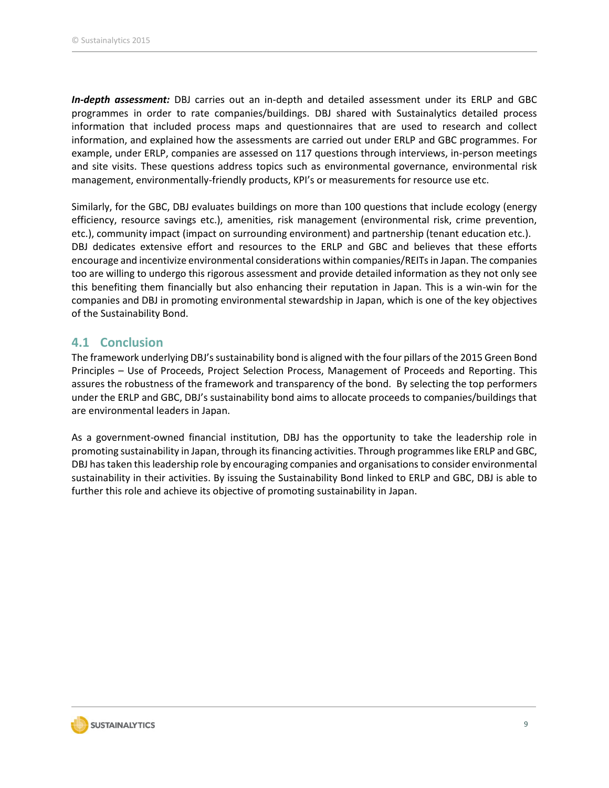*In-depth assessment:* DBJ carries out an in-depth and detailed assessment under its ERLP and GBC programmes in order to rate companies/buildings. DBJ shared with Sustainalytics detailed process information that included process maps and questionnaires that are used to research and collect information, and explained how the assessments are carried out under ERLP and GBC programmes. For example, under ERLP, companies are assessed on 117 questions through interviews, in-person meetings and site visits. These questions address topics such as environmental governance, environmental risk management, environmentally-friendly products, KPI's or measurements for resource use etc.

Similarly, for the GBC, DBJ evaluates buildings on more than 100 questions that include ecology (energy efficiency, resource savings etc.), amenities, risk management (environmental risk, crime prevention, etc.), community impact (impact on surrounding environment) and partnership (tenant education etc.). DBJ dedicates extensive effort and resources to the ERLP and GBC and believes that these efforts encourage and incentivize environmental considerations within companies/REITs in Japan. The companies too are willing to undergo this rigorous assessment and provide detailed information as they not only see this benefiting them financially but also enhancing their reputation in Japan. This is a win-win for the companies and DBJ in promoting environmental stewardship in Japan, which is one of the key objectives of the Sustainability Bond.

#### **4.1 Conclusion**

The framework underlying DBJ's sustainability bond is aligned with the four pillars of the 2015 Green Bond Principles – Use of Proceeds, Project Selection Process, Management of Proceeds and Reporting. This assures the robustness of the framework and transparency of the bond. By selecting the top performers under the ERLP and GBC, DBJ's sustainability bond aims to allocate proceeds to companies/buildings that are environmental leaders in Japan.

As a government-owned financial institution, DBJ has the opportunity to take the leadership role in promoting sustainability in Japan, through its financing activities. Through programmes like ERLP and GBC, DBJ has taken this leadership role by encouraging companies and organisations to consider environmental sustainability in their activities. By issuing the Sustainability Bond linked to ERLP and GBC, DBJ is able to further this role and achieve its objective of promoting sustainability in Japan.

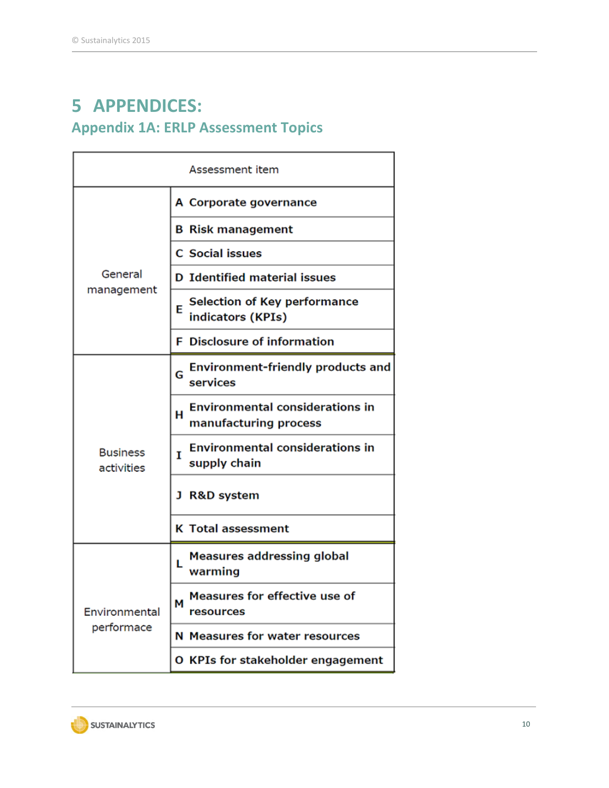# **5 APPENDICES: Appendix 1A: ERLP Assessment Topics**

| Assessment item               |                                                                      |  |  |  |  |
|-------------------------------|----------------------------------------------------------------------|--|--|--|--|
|                               | A Corporate governance                                               |  |  |  |  |
|                               | <b>B</b> Risk management                                             |  |  |  |  |
|                               | <b>C</b> Social issues                                               |  |  |  |  |
| General<br>management         | <b>D</b> Identified material issues                                  |  |  |  |  |
|                               | <b>Selection of Key performance</b><br>F<br>indicators (KPIs)        |  |  |  |  |
|                               | <b>F</b> Disclosure of information                                   |  |  |  |  |
|                               | Environment-friendly products and<br>G<br>services                   |  |  |  |  |
|                               | <b>Environmental considerations in</b><br>н<br>manufacturing process |  |  |  |  |
| <b>Business</b><br>activities | <b>Environmental considerations in</b><br>Т<br>supply chain          |  |  |  |  |
|                               | J R&D system                                                         |  |  |  |  |
|                               | <b>K</b> Total assessment                                            |  |  |  |  |
|                               | Measures addressing global<br>L<br>warming                           |  |  |  |  |
| Environmental                 | Measures for effective use of<br>М<br>resources                      |  |  |  |  |
| performace                    | N Measures for water resources                                       |  |  |  |  |
|                               | O KPIs for stakeholder engagement                                    |  |  |  |  |

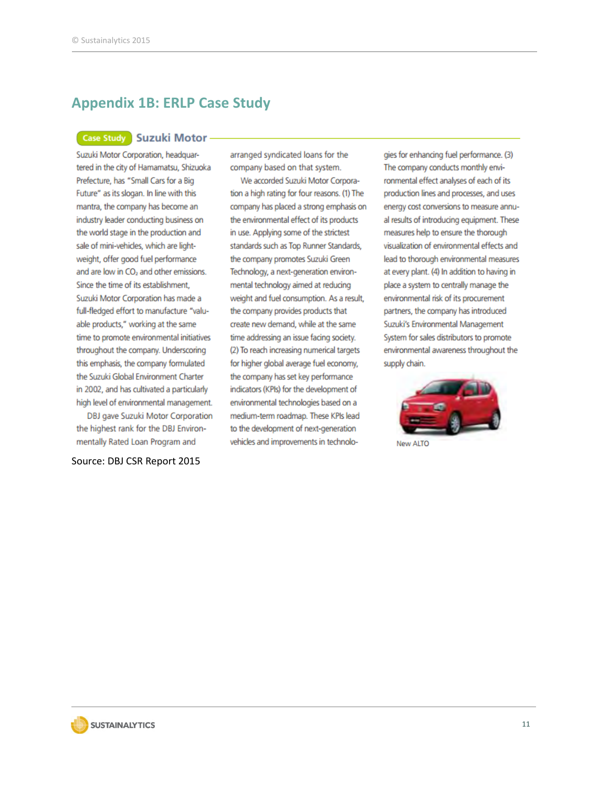### **Appendix 1B: ERLP Case Study**

#### Case Study Suzuki Motor -

Suzuki Motor Corporation, headquartered in the city of Hamamatsu, Shizuoka Prefecture, has "Small Cars for a Big Future" as its slogan. In line with this mantra, the company has become an industry leader conducting business on the world stage in the production and sale of mini-vehicles, which are lightweight, offer good fuel performance and are low in CO<sub>2</sub> and other emissions. Since the time of its establishment, Suzuki Motor Corporation has made a full-fledged effort to manufacture "valuable products," working at the same time to promote environmental initiatives throughout the company. Underscoring this emphasis, the company formulated the Suzuki Global Environment Charter in 2002, and has cultivated a particularly high level of environmental management.

DBJ gave Suzuki Motor Corporation the highest rank for the DBJ Environmentally Rated Loan Program and

Source: DBJ CSR Report 2015

arranged syndicated loans for the company based on that system.

We accorded Suzuki Motor Corporation a high rating for four reasons. (1) The company has placed a strong emphasis on the environmental effect of its products in use. Applying some of the strictest standards such as Top Runner Standards, the company promotes Suzuki Green Technology, a next-generation environmental technology aimed at reducing weight and fuel consumption. As a result, the company provides products that create new demand, while at the same time addressing an issue facing society. (2) To reach increasing numerical targets for higher global average fuel economy, the company has set key performance indicators (KPIs) for the development of environmental technologies based on a medium-term roadmap. These KPIs lead to the development of next-generation vehicles and improvements in technologies for enhancing fuel performance. (3) The company conducts monthly environmental effect analyses of each of its production lines and processes, and uses energy cost conversions to measure annual results of introducing equipment. These measures help to ensure the thorough visualization of environmental effects and lead to thorough environmental measures at every plant. (4) In addition to having in place a system to centrally manage the environmental risk of its procurement partners, the company has introduced Suzuki's Environmental Management System for sales distributors to promote environmental awareness throughout the supply chain.



**New ALTO** 

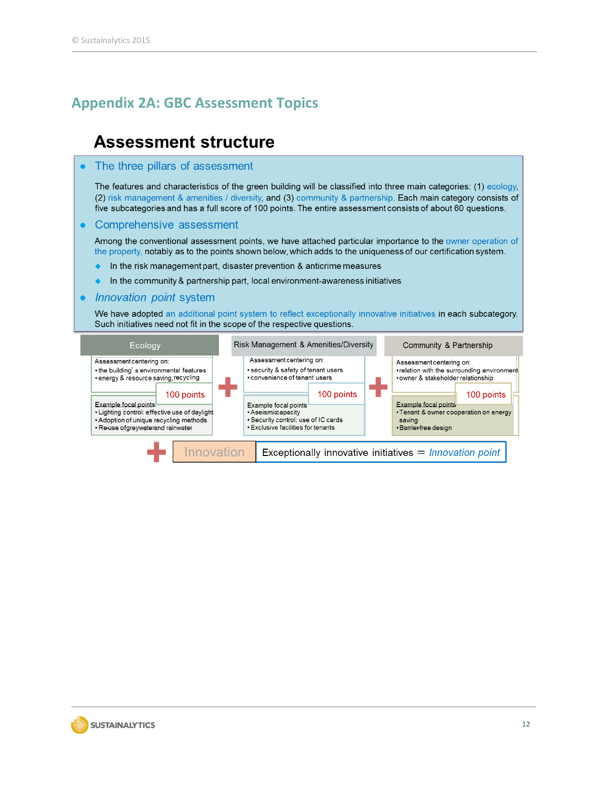### **Appendix 2A: GBC Assessment Topics**

### **Assessment structure**

#### The three pillars of assessment

The features and characteristics of the green building will be classified into three main categories: (1) ecology, (2) risk management & amenities / diversity, and (3) community & partnership. Each main category consists of five subcategories and has a full score of 100 points. The entire assessment consists of about 60 questions.

#### • Comprehensive assessment

Among the conventional assessment points, we have attached particular importance to the owner operation of the property, notably as to the points shown below, which adds to the uniqueness of our certification system.

- $\bullet$  In the risk management part, disaster prevention & anticrime measures
- In the community & partnership part, local environment-awareness initiatives  $\ddot{\bullet}$

#### • Innovation point system

We have adopted an additional point system to reflect exceptionally innovative initiatives in each subcategory. Such initiatives need not fit in the scope of the respective questions.

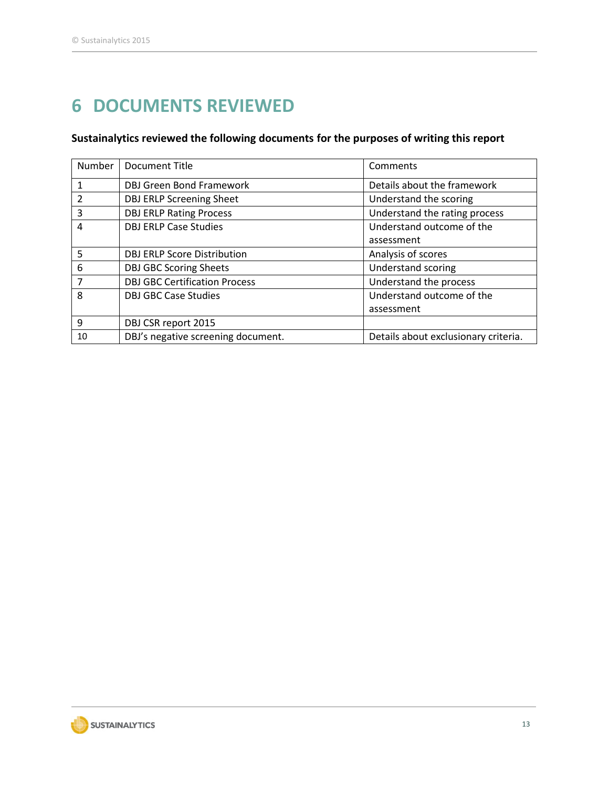# **DOCUMENTS REVIEWED**

### **Sustainalytics reviewed the following documents for the purposes of writing this report**

| <b>Number</b>  | <b>Document Title</b>                | Comments                             |
|----------------|--------------------------------------|--------------------------------------|
| $\mathbf{1}$   | <b>DBJ Green Bond Framework</b>      | Details about the framework          |
| 2              | <b>DBJ ERLP Screening Sheet</b>      | Understand the scoring               |
| 3              | <b>DBJ ERLP Rating Process</b>       | Understand the rating process        |
| 4              | <b>DBJ ERLP Case Studies</b>         | Understand outcome of the            |
|                |                                      | assessment                           |
| 5              | <b>DBJ ERLP Score Distribution</b>   | Analysis of scores                   |
| 6              | <b>DBJ GBC Scoring Sheets</b>        | <b>Understand scoring</b>            |
| $\overline{7}$ | <b>DBJ GBC Certification Process</b> | Understand the process               |
| 8              | <b>DBJ GBC Case Studies</b>          | Understand outcome of the            |
|                |                                      | assessment                           |
| 9              | DBJ CSR report 2015                  |                                      |
| 10             | DBJ's negative screening document.   | Details about exclusionary criteria. |